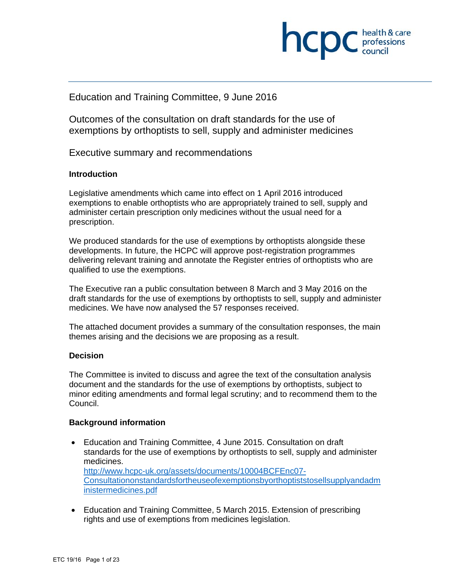

## Education and Training Committee, 9 June 2016

Outcomes of the consultation on draft standards for the use of exemptions by orthoptists to sell, supply and administer medicines

Executive summary and recommendations

#### **Introduction**

Legislative amendments which came into effect on 1 April 2016 introduced exemptions to enable orthoptists who are appropriately trained to sell, supply and administer certain prescription only medicines without the usual need for a prescription.

We produced standards for the use of exemptions by orthoptists alongside these developments. In future, the HCPC will approve post-registration programmes delivering relevant training and annotate the Register entries of orthoptists who are qualified to use the exemptions.

The Executive ran a public consultation between 8 March and 3 May 2016 on the draft standards for the use of exemptions by orthoptists to sell, supply and administer medicines. We have now analysed the 57 responses received.

The attached document provides a summary of the consultation responses, the main themes arising and the decisions we are proposing as a result.

#### **Decision**

The Committee is invited to discuss and agree the text of the consultation analysis document and the standards for the use of exemptions by orthoptists, subject to minor editing amendments and formal legal scrutiny; and to recommend them to the Council.

#### **Background information**

- Education and Training Committee, 4 June 2015. Consultation on draft standards for the use of exemptions by orthoptists to sell, supply and administer medicines. http://www.hcpc-uk.org/assets/documents/10004BCFEnc07- Consultationonstandardsfortheuseofexemptionsbyorthoptiststosellsupplyandadm inistermedicines.pdf
- Education and Training Committee, 5 March 2015. Extension of prescribing rights and use of exemptions from medicines legislation.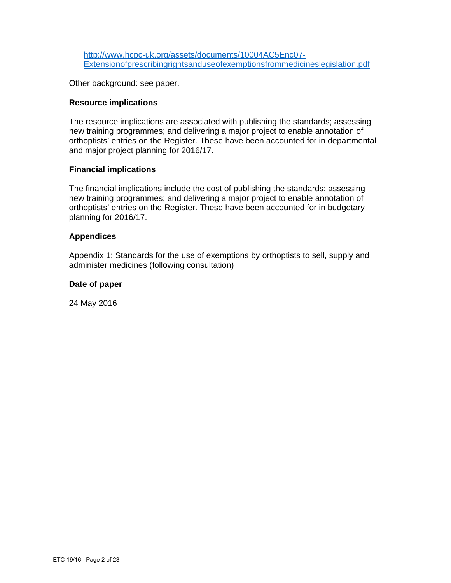http://www.hcpc-uk.org/assets/documents/10004AC5Enc07- Extensionofprescribingrightsanduseofexemptionsfrommedicineslegislation.pdf

Other background: see paper.

#### **Resource implications**

The resource implications are associated with publishing the standards; assessing new training programmes; and delivering a major project to enable annotation of orthoptists' entries on the Register. These have been accounted for in departmental and major project planning for 2016/17.

#### **Financial implications**

The financial implications include the cost of publishing the standards; assessing new training programmes; and delivering a major project to enable annotation of orthoptists' entries on the Register. These have been accounted for in budgetary planning for 2016/17.

#### **Appendices**

Appendix 1: Standards for the use of exemptions by orthoptists to sell, supply and administer medicines (following consultation)

#### **Date of paper**

24 May 2016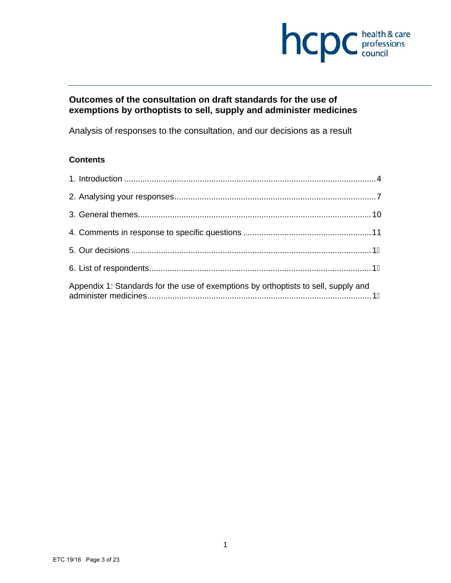

## **Outcomes of the consultation on draft standards for the use of exemptions by orthoptists to sell, supply and administer medicines**

Analysis of responses to the consultation, and our decisions as a result

## **Contents**

| Appendix 1: Standards for the use of exemptions by orthoptists to sell, supply and |  |
|------------------------------------------------------------------------------------|--|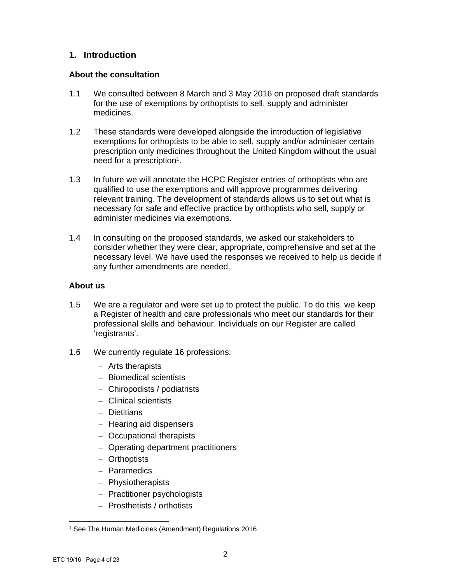## **1. Introduction**

## **About the consultation**

- 1.1 We consulted between 8 March and 3 May 2016 on proposed draft standards for the use of exemptions by orthoptists to sell, supply and administer medicines.
- 1.2 These standards were developed alongside the introduction of legislative exemptions for orthoptists to be able to sell, supply and/or administer certain prescription only medicines throughout the United Kingdom without the usual need for a prescription<sup>1</sup>.
- 1.3 In future we will annotate the HCPC Register entries of orthoptists who are qualified to use the exemptions and will approve programmes delivering relevant training. The development of standards allows us to set out what is necessary for safe and effective practice by orthoptists who sell, supply or administer medicines via exemptions.
- 1.4 In consulting on the proposed standards, we asked our stakeholders to consider whether they were clear, appropriate, comprehensive and set at the necessary level. We have used the responses we received to help us decide if any further amendments are needed.

## **About us**

- 1.5 We are a regulator and were set up to protect the public. To do this, we keep a Register of health and care professionals who meet our standards for their professional skills and behaviour. Individuals on our Register are called 'registrants'.
- 1.6 We currently regulate 16 professions:
	- Arts therapists
	- Biomedical scientists
	- Chiropodists / podiatrists
	- Clinical scientists
	- Dietitians
	- Hearing aid dispensers
	- Occupational therapists
	- Operating department practitioners
	- Orthoptists
	- Paramedics
	- Physiotherapists
	- Practitioner psychologists
	- Prosthetists / orthotists

 1 See The Human Medicines (Amendment) Regulations 2016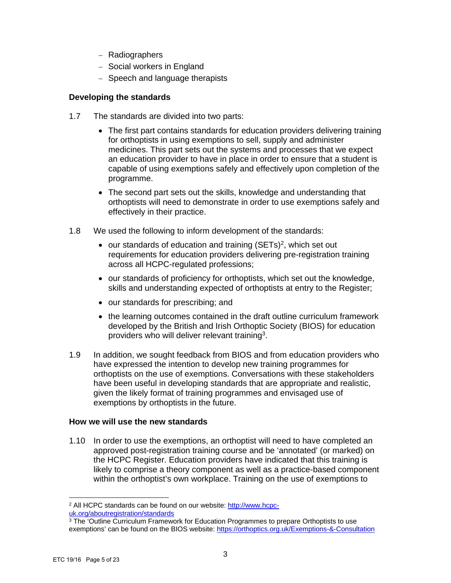- Radiographers
- Social workers in England
- Speech and language therapists

## **Developing the standards**

- 1.7 The standards are divided into two parts:
	- The first part contains standards for education providers delivering training for orthoptists in using exemptions to sell, supply and administer medicines. This part sets out the systems and processes that we expect an education provider to have in place in order to ensure that a student is capable of using exemptions safely and effectively upon completion of the programme.
	- The second part sets out the skills, knowledge and understanding that orthoptists will need to demonstrate in order to use exemptions safely and effectively in their practice.
- 1.8 We used the following to inform development of the standards:
	- $\bullet$  our standards of education and training (SETs)<sup>2</sup>, which set out requirements for education providers delivering pre-registration training across all HCPC-regulated professions;
	- our standards of proficiency for orthoptists, which set out the knowledge, skills and understanding expected of orthoptists at entry to the Register;
	- our standards for prescribing; and
	- the learning outcomes contained in the draft outline curriculum framework developed by the British and Irish Orthoptic Society (BIOS) for education providers who will deliver relevant training<sup>3</sup>.
- 1.9 In addition, we sought feedback from BIOS and from education providers who have expressed the intention to develop new training programmes for orthoptists on the use of exemptions. Conversations with these stakeholders have been useful in developing standards that are appropriate and realistic, given the likely format of training programmes and envisaged use of exemptions by orthoptists in the future.

## **How we will use the new standards**

1.10 In order to use the exemptions, an orthoptist will need to have completed an approved post-registration training course and be 'annotated' (or marked) on the HCPC Register. Education providers have indicated that this training is likely to comprise a theory component as well as a practice-based component within the orthoptist's own workplace. Training on the use of exemptions to

 2 All HCPC standards can be found on our website: http://www.hcpc-

uk.org/aboutregistration/standards<br><sup>3</sup> The 'Outline Curriculum Framework for Education Programmes to prepare Orthoptists to use exemptions' can be found on the BIOS website: https://orthoptics.org.uk/Exemptions-&-Consultation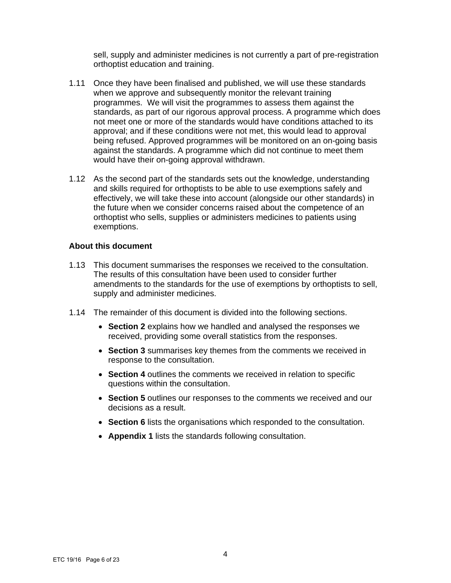sell, supply and administer medicines is not currently a part of pre-registration orthoptist education and training.

- 1.11 Once they have been finalised and published, we will use these standards when we approve and subsequently monitor the relevant training programmes. We will visit the programmes to assess them against the standards, as part of our rigorous approval process. A programme which does not meet one or more of the standards would have conditions attached to its approval; and if these conditions were not met, this would lead to approval being refused. Approved programmes will be monitored on an on-going basis against the standards. A programme which did not continue to meet them would have their on-going approval withdrawn.
- 1.12 As the second part of the standards sets out the knowledge, understanding and skills required for orthoptists to be able to use exemptions safely and effectively, we will take these into account (alongside our other standards) in the future when we consider concerns raised about the competence of an orthoptist who sells, supplies or administers medicines to patients using exemptions.

#### **About this document**

- 1.13 This document summarises the responses we received to the consultation. The results of this consultation have been used to consider further amendments to the standards for the use of exemptions by orthoptists to sell, supply and administer medicines.
- 1.14 The remainder of this document is divided into the following sections.
	- **Section 2** explains how we handled and analysed the responses we received, providing some overall statistics from the responses.
	- **Section 3** summarises key themes from the comments we received in response to the consultation.
	- **Section 4** outlines the comments we received in relation to specific questions within the consultation.
	- **Section 5** outlines our responses to the comments we received and our decisions as a result.
	- **Section 6** lists the organisations which responded to the consultation.
	- **Appendix 1** lists the standards following consultation.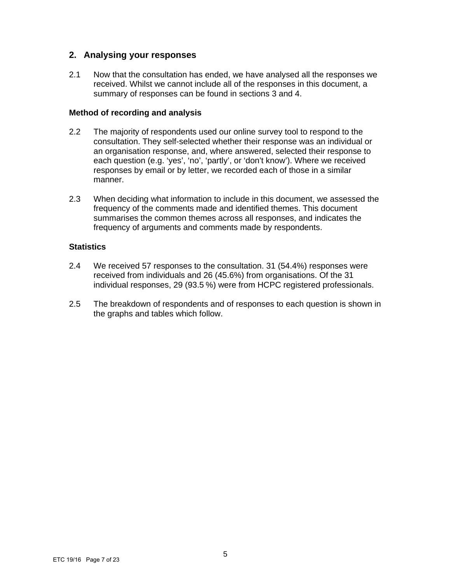## **2. Analysing your responses**

2.1 Now that the consultation has ended, we have analysed all the responses we received. Whilst we cannot include all of the responses in this document, a summary of responses can be found in sections 3 and 4.

#### **Method of recording and analysis**

- 2.2 The majority of respondents used our online survey tool to respond to the consultation. They self-selected whether their response was an individual or an organisation response, and, where answered, selected their response to each question (e.g. 'yes', 'no', 'partly', or 'don't know'). Where we received responses by email or by letter, we recorded each of those in a similar manner.
- 2.3 When deciding what information to include in this document, we assessed the frequency of the comments made and identified themes. This document summarises the common themes across all responses, and indicates the frequency of arguments and comments made by respondents.

## **Statistics**

- 2.4 We received 57 responses to the consultation. 31 (54.4%) responses were received from individuals and 26 (45.6%) from organisations. Of the 31 individual responses, 29 (93.5 %) were from HCPC registered professionals.
- 2.5 The breakdown of respondents and of responses to each question is shown in the graphs and tables which follow.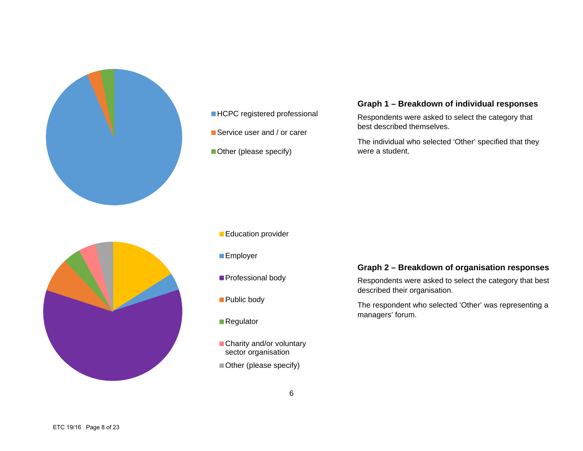

# **HCPC** registered professional

Service user and / or carer

Other (please specify)

## **Graph 1 – Breakdown of individual responses**

Respondents were asked to select the category that best described themselves.

The individual who selected 'Other' specified that they were a student.



#### **Education provider**

- **Employer**
- **Professional body**
- Public body
- Regulator
- Charity and/or voluntary sector organisation
- Other (please specify)

## **Graph 2 – Breakdown of organisation responses**

Respondents were asked to select the category that best described their organisation.

The respondent who selected 'Other' was representing a managers' forum.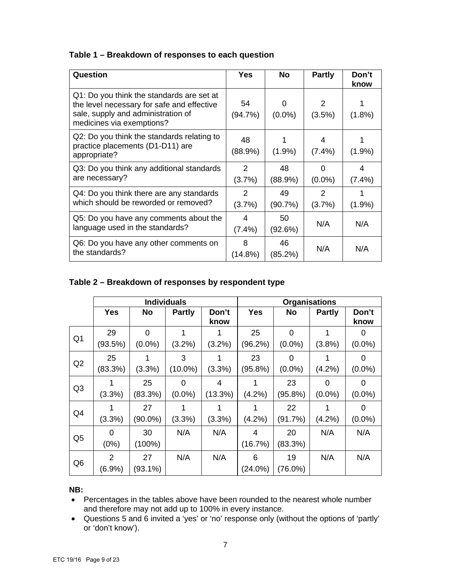## **Table 1 – Breakdown of responses to each question**

| Question                                                                                                                                                   | Yes            | <b>No</b>      | <b>Partly</b>           | Don't<br>know  |
|------------------------------------------------------------------------------------------------------------------------------------------------------------|----------------|----------------|-------------------------|----------------|
| Q1: Do you think the standards are set at<br>the level necessary for safe and effective<br>sale, supply and administration of<br>medicines via exemptions? | 54<br>(94.7%)  | 0<br>$(0.0\%)$ | 2<br>$(3.5\%)$          | $(1.8\%)$      |
| Q2: Do you think the standards relating to<br>practice placements (D1-D11) are<br>appropriate?                                                             | 48<br>(88.9%)  | $(1.9\%)$      | 4<br>$(7.4\%)$          | $(1.9\%)$      |
| Q3: Do you think any additional standards<br>are necessary?                                                                                                | 2<br>(3.7%)    | 48<br>(88.9%)  | 0<br>$(0.0\%)$          | 4<br>$(7.4\%)$ |
| Q4: Do you think there are any standards<br>which should be reworded or removed?                                                                           | 2<br>(3.7%)    | 49<br>(90.7%)  | $\mathcal{P}$<br>(3.7%) | $(1.9\%)$      |
| Q5: Do you have any comments about the<br>language used in the standards?                                                                                  | 4<br>$(7.4\%)$ | 50<br>(92.6%)  | N/A                     | N/A            |
| Q6: Do you have any other comments on<br>the standards?                                                                                                    | 8<br>(14.8%)   | 46<br>(85.2%)  | N/A                     | N/A            |

## **Table 2 – Breakdown of responses by respondent type**

|                | <b>Individuals</b> |            |               | <b>Organisations</b> |            |            |               |               |
|----------------|--------------------|------------|---------------|----------------------|------------|------------|---------------|---------------|
|                | <b>Yes</b>         | <b>No</b>  | <b>Partly</b> | Don't<br>know        | <b>Yes</b> | <b>No</b>  | <b>Partly</b> | Don't<br>know |
| Q <sub>1</sub> | 29                 | $\Omega$   |               |                      | 25         | 0          | 1             | 0             |
|                | (93.5%)            | $(0.0\%)$  | $(3.2\%)$     | $(3.2\%)$            | (96.2%)    | $(0.0\%)$  | $(3.8\%)$     | $(0.0\%)$     |
| Q2             | 25                 |            | 3             | 1                    | 23         | 0          | 1             | 0             |
|                | (83.3%)            | (3.3%)     | $(10.0\%)$    | (3.3%)               | (95.8%)    | $(0.0\%)$  | (4.2%)        | $(0.0\%)$     |
| Q <sub>3</sub> |                    | 25         | 0             | 4                    |            | 23         | $\Omega$      | 0             |
|                | (3.3%)             | (83.3%)    | $(0.0\%)$     | (13.3%)              | $(4.2\%)$  | $(95.8\%)$ | $(0.0\%)$     | $(0.0\%)$     |
|                |                    | 27         |               | 1                    |            | 22         |               | 0             |
| Q4             | (3.3%)             | $(90.0\%)$ | (3.3%)        | (3.3%)               | (4.2%)     | (91.7%)    | (4.2%)        | $(0.0\%)$     |
| Q <sub>5</sub> | $\Omega$           | 30         | N/A           | N/A                  | 4          | 20         | N/A           | N/A           |
|                | (0%)               | $(100\%)$  |               |                      | (16.7%)    | (83.3%)    |               |               |
|                | $\overline{2}$     | 27         | N/A           | N/A                  | 6          | 19         | N/A           | N/A           |
| Q <sub>6</sub> | (6.9%)             | $(93.1\%)$ |               |                      | $(24.0\%)$ | $(76.0\%)$ |               |               |

#### **NB:**

- Percentages in the tables above have been rounded to the nearest whole number and therefore may not add up to 100% in every instance.
- Questions 5 and 6 invited a 'yes' or 'no' response only (without the options of 'partly' or 'don't know').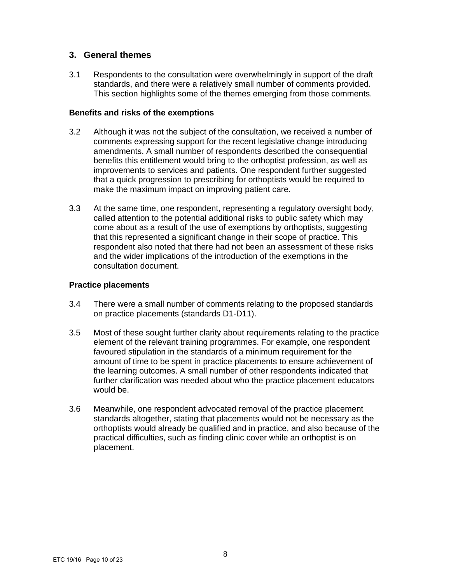## **3. General themes**

3.1 Respondents to the consultation were overwhelmingly in support of the draft standards, and there were a relatively small number of comments provided. This section highlights some of the themes emerging from those comments.

#### **Benefits and risks of the exemptions**

- 3.2 Although it was not the subject of the consultation, we received a number of comments expressing support for the recent legislative change introducing amendments. A small number of respondents described the consequential benefits this entitlement would bring to the orthoptist profession, as well as improvements to services and patients. One respondent further suggested that a quick progression to prescribing for orthoptists would be required to make the maximum impact on improving patient care.
- 3.3 At the same time, one respondent, representing a regulatory oversight body, called attention to the potential additional risks to public safety which may come about as a result of the use of exemptions by orthoptists, suggesting that this represented a significant change in their scope of practice. This respondent also noted that there had not been an assessment of these risks and the wider implications of the introduction of the exemptions in the consultation document.

#### **Practice placements**

- 3.4 There were a small number of comments relating to the proposed standards on practice placements (standards D1-D11).
- 3.5 Most of these sought further clarity about requirements relating to the practice element of the relevant training programmes. For example, one respondent favoured stipulation in the standards of a minimum requirement for the amount of time to be spent in practice placements to ensure achievement of the learning outcomes. A small number of other respondents indicated that further clarification was needed about who the practice placement educators would be.
- 3.6 Meanwhile, one respondent advocated removal of the practice placement standards altogether, stating that placements would not be necessary as the orthoptists would already be qualified and in practice, and also because of the practical difficulties, such as finding clinic cover while an orthoptist is on placement.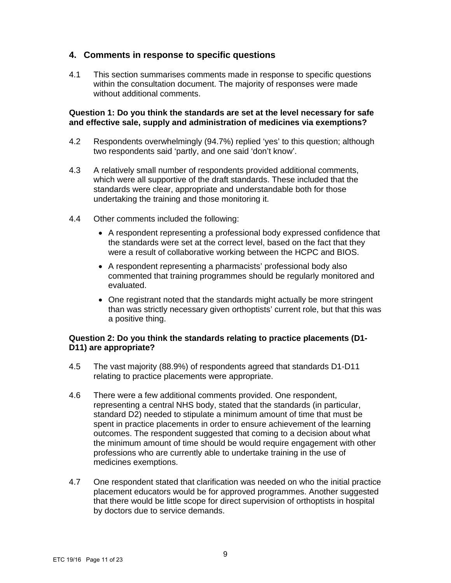## **4. Comments in response to specific questions**

4.1 This section summarises comments made in response to specific questions within the consultation document. The majority of responses were made without additional comments.

#### **Question 1: Do you think the standards are set at the level necessary for safe and effective sale, supply and administration of medicines via exemptions?**

- 4.2 Respondents overwhelmingly (94.7%) replied 'yes' to this question; although two respondents said 'partly, and one said 'don't know'.
- 4.3 A relatively small number of respondents provided additional comments, which were all supportive of the draft standards. These included that the standards were clear, appropriate and understandable both for those undertaking the training and those monitoring it.
- 4.4 Other comments included the following:
	- A respondent representing a professional body expressed confidence that the standards were set at the correct level, based on the fact that they were a result of collaborative working between the HCPC and BIOS.
	- A respondent representing a pharmacists' professional body also commented that training programmes should be regularly monitored and evaluated.
	- One registrant noted that the standards might actually be more stringent than was strictly necessary given orthoptists' current role, but that this was a positive thing.

## **Question 2: Do you think the standards relating to practice placements (D1- D11) are appropriate?**

- 4.5 The vast majority (88.9%) of respondents agreed that standards D1-D11 relating to practice placements were appropriate.
- 4.6 There were a few additional comments provided. One respondent, representing a central NHS body, stated that the standards (in particular, standard D2) needed to stipulate a minimum amount of time that must be spent in practice placements in order to ensure achievement of the learning outcomes. The respondent suggested that coming to a decision about what the minimum amount of time should be would require engagement with other professions who are currently able to undertake training in the use of medicines exemptions.
- 4.7 One respondent stated that clarification was needed on who the initial practice placement educators would be for approved programmes. Another suggested that there would be little scope for direct supervision of orthoptists in hospital by doctors due to service demands.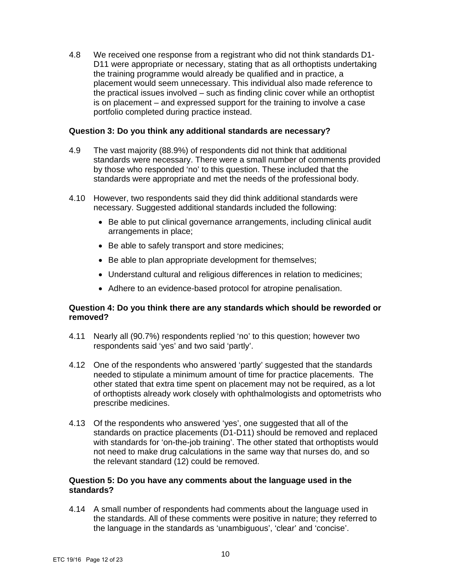4.8 We received one response from a registrant who did not think standards D1- D11 were appropriate or necessary, stating that as all orthoptists undertaking the training programme would already be qualified and in practice, a placement would seem unnecessary. This individual also made reference to the practical issues involved – such as finding clinic cover while an orthoptist is on placement – and expressed support for the training to involve a case portfolio completed during practice instead.

#### **Question 3: Do you think any additional standards are necessary?**

- 4.9 The vast majority (88.9%) of respondents did not think that additional standards were necessary. There were a small number of comments provided by those who responded 'no' to this question. These included that the standards were appropriate and met the needs of the professional body.
- 4.10 However, two respondents said they did think additional standards were necessary. Suggested additional standards included the following:
	- Be able to put clinical governance arrangements, including clinical audit arrangements in place;
	- Be able to safely transport and store medicines;
	- Be able to plan appropriate development for themselves;
	- Understand cultural and religious differences in relation to medicines;
	- Adhere to an evidence-based protocol for atropine penalisation.

## **Question 4: Do you think there are any standards which should be reworded or removed?**

- 4.11 Nearly all (90.7%) respondents replied 'no' to this question; however two respondents said 'yes' and two said 'partly'.
- 4.12 One of the respondents who answered 'partly' suggested that the standards needed to stipulate a minimum amount of time for practice placements. The other stated that extra time spent on placement may not be required, as a lot of orthoptists already work closely with ophthalmologists and optometrists who prescribe medicines.
- 4.13 Of the respondents who answered 'yes', one suggested that all of the standards on practice placements (D1-D11) should be removed and replaced with standards for 'on-the-job training'. The other stated that orthoptists would not need to make drug calculations in the same way that nurses do, and so the relevant standard (12) could be removed.

## **Question 5: Do you have any comments about the language used in the standards?**

4.14 A small number of respondents had comments about the language used in the standards. All of these comments were positive in nature; they referred to the language in the standards as 'unambiguous', 'clear' and 'concise'.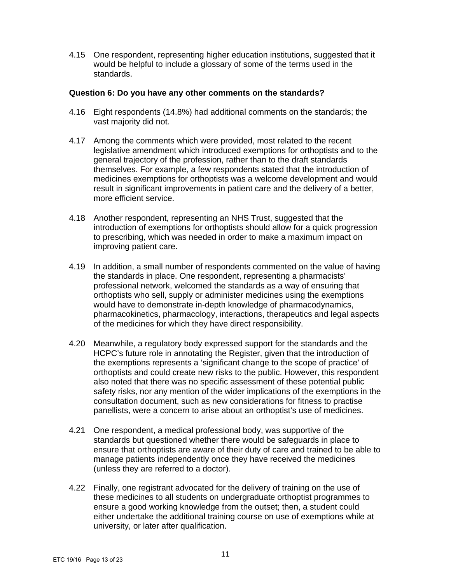4.15 One respondent, representing higher education institutions, suggested that it would be helpful to include a glossary of some of the terms used in the standards.

#### **Question 6: Do you have any other comments on the standards?**

- 4.16 Eight respondents (14.8%) had additional comments on the standards; the vast majority did not.
- 4.17 Among the comments which were provided, most related to the recent legislative amendment which introduced exemptions for orthoptists and to the general trajectory of the profession, rather than to the draft standards themselves. For example, a few respondents stated that the introduction of medicines exemptions for orthoptists was a welcome development and would result in significant improvements in patient care and the delivery of a better, more efficient service.
- 4.18 Another respondent, representing an NHS Trust, suggested that the introduction of exemptions for orthoptists should allow for a quick progression to prescribing, which was needed in order to make a maximum impact on improving patient care.
- 4.19 In addition, a small number of respondents commented on the value of having the standards in place. One respondent, representing a pharmacists' professional network, welcomed the standards as a way of ensuring that orthoptists who sell, supply or administer medicines using the exemptions would have to demonstrate in-depth knowledge of pharmacodynamics, pharmacokinetics, pharmacology, interactions, therapeutics and legal aspects of the medicines for which they have direct responsibility.
- 4.20 Meanwhile, a regulatory body expressed support for the standards and the HCPC's future role in annotating the Register, given that the introduction of the exemptions represents a 'significant change to the scope of practice' of orthoptists and could create new risks to the public. However, this respondent also noted that there was no specific assessment of these potential public safety risks, nor any mention of the wider implications of the exemptions in the consultation document, such as new considerations for fitness to practise panellists, were a concern to arise about an orthoptist's use of medicines.
- 4.21 One respondent, a medical professional body, was supportive of the standards but questioned whether there would be safeguards in place to ensure that orthoptists are aware of their duty of care and trained to be able to manage patients independently once they have received the medicines (unless they are referred to a doctor).
- 4.22 Finally, one registrant advocated for the delivery of training on the use of these medicines to all students on undergraduate orthoptist programmes to ensure a good working knowledge from the outset; then, a student could either undertake the additional training course on use of exemptions while at university, or later after qualification.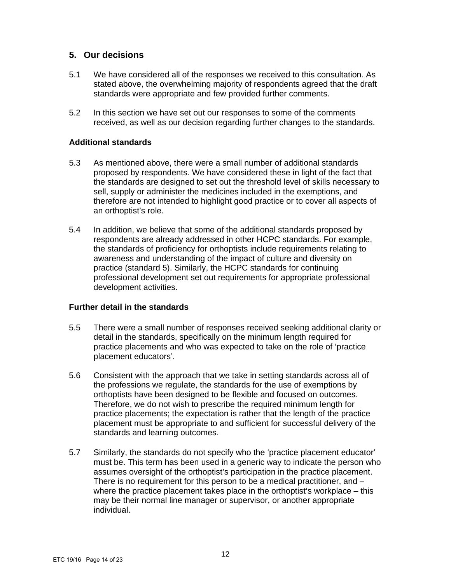## **5. Our decisions**

- 5.1 We have considered all of the responses we received to this consultation. As stated above, the overwhelming majority of respondents agreed that the draft standards were appropriate and few provided further comments.
- 5.2 In this section we have set out our responses to some of the comments received, as well as our decision regarding further changes to the standards.

#### **Additional standards**

- 5.3 As mentioned above, there were a small number of additional standards proposed by respondents. We have considered these in light of the fact that the standards are designed to set out the threshold level of skills necessary to sell, supply or administer the medicines included in the exemptions, and therefore are not intended to highlight good practice or to cover all aspects of an orthoptist's role.
- 5.4 In addition, we believe that some of the additional standards proposed by respondents are already addressed in other HCPC standards. For example, the standards of proficiency for orthoptists include requirements relating to awareness and understanding of the impact of culture and diversity on practice (standard 5). Similarly, the HCPC standards for continuing professional development set out requirements for appropriate professional development activities.

#### **Further detail in the standards**

- 5.5 There were a small number of responses received seeking additional clarity or detail in the standards, specifically on the minimum length required for practice placements and who was expected to take on the role of 'practice placement educators'.
- 5.6 Consistent with the approach that we take in setting standards across all of the professions we regulate, the standards for the use of exemptions by orthoptists have been designed to be flexible and focused on outcomes. Therefore, we do not wish to prescribe the required minimum length for practice placements; the expectation is rather that the length of the practice placement must be appropriate to and sufficient for successful delivery of the standards and learning outcomes.
- 5.7 Similarly, the standards do not specify who the 'practice placement educator' must be. This term has been used in a generic way to indicate the person who assumes oversight of the orthoptist's participation in the practice placement. There is no requirement for this person to be a medical practitioner, and – where the practice placement takes place in the orthoptist's workplace – this may be their normal line manager or supervisor, or another appropriate individual.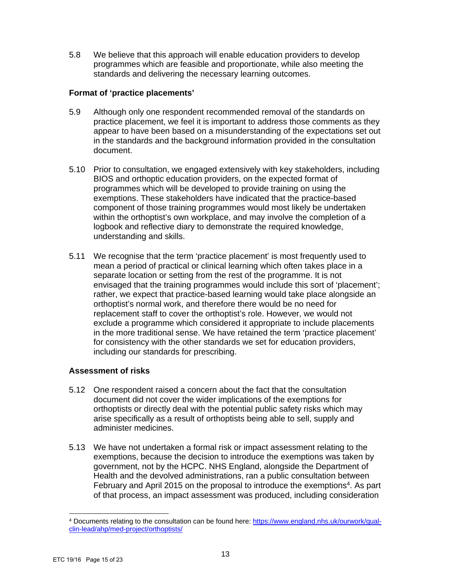5.8 We believe that this approach will enable education providers to develop programmes which are feasible and proportionate, while also meeting the standards and delivering the necessary learning outcomes.

## **Format of 'practice placements'**

- 5.9 Although only one respondent recommended removal of the standards on practice placement, we feel it is important to address those comments as they appear to have been based on a misunderstanding of the expectations set out in the standards and the background information provided in the consultation document.
- 5.10 Prior to consultation, we engaged extensively with key stakeholders, including BIOS and orthoptic education providers, on the expected format of programmes which will be developed to provide training on using the exemptions. These stakeholders have indicated that the practice-based component of those training programmes would most likely be undertaken within the orthoptist's own workplace, and may involve the completion of a logbook and reflective diary to demonstrate the required knowledge, understanding and skills.
- 5.11 We recognise that the term 'practice placement' is most frequently used to mean a period of practical or clinical learning which often takes place in a separate location or setting from the rest of the programme. It is not envisaged that the training programmes would include this sort of 'placement'; rather, we expect that practice-based learning would take place alongside an orthoptist's normal work, and therefore there would be no need for replacement staff to cover the orthoptist's role. However, we would not exclude a programme which considered it appropriate to include placements in the more traditional sense. We have retained the term 'practice placement' for consistency with the other standards we set for education providers, including our standards for prescribing.

## **Assessment of risks**

- 5.12 One respondent raised a concern about the fact that the consultation document did not cover the wider implications of the exemptions for orthoptists or directly deal with the potential public safety risks which may arise specifically as a result of orthoptists being able to sell, supply and administer medicines.
- 5.13 We have not undertaken a formal risk or impact assessment relating to the exemptions, because the decision to introduce the exemptions was taken by government, not by the HCPC. NHS England, alongside the Department of Health and the devolved administrations, ran a public consultation between February and April 2015 on the proposal to introduce the exemptions<sup>4</sup>. As part of that process, an impact assessment was produced, including consideration

<sup>4</sup> Documents relating to the consultation can be found here: https://www.england.nhs.uk/ourwork/qualclin-lead/ahp/med-project/orthoptists/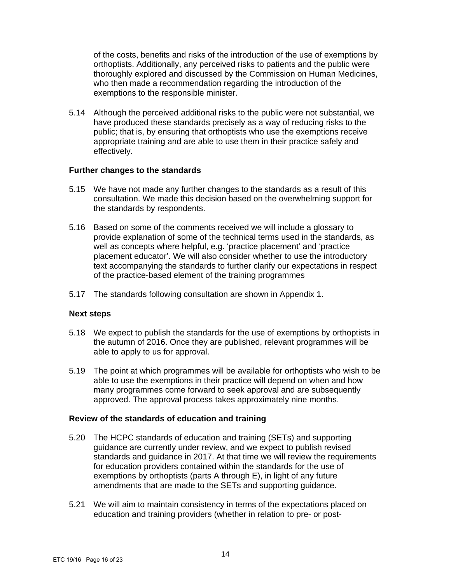of the costs, benefits and risks of the introduction of the use of exemptions by orthoptists. Additionally, any perceived risks to patients and the public were thoroughly explored and discussed by the Commission on Human Medicines, who then made a recommendation regarding the introduction of the exemptions to the responsible minister.

5.14 Although the perceived additional risks to the public were not substantial, we have produced these standards precisely as a way of reducing risks to the public; that is, by ensuring that orthoptists who use the exemptions receive appropriate training and are able to use them in their practice safely and effectively.

#### **Further changes to the standards**

- 5.15 We have not made any further changes to the standards as a result of this consultation. We made this decision based on the overwhelming support for the standards by respondents.
- 5.16 Based on some of the comments received we will include a glossary to provide explanation of some of the technical terms used in the standards, as well as concepts where helpful, e.g. 'practice placement' and 'practice placement educator'. We will also consider whether to use the introductory text accompanying the standards to further clarify our expectations in respect of the practice-based element of the training programmes
- 5.17 The standards following consultation are shown in Appendix 1.

## **Next steps**

- 5.18 We expect to publish the standards for the use of exemptions by orthoptists in the autumn of 2016. Once they are published, relevant programmes will be able to apply to us for approval.
- 5.19 The point at which programmes will be available for orthoptists who wish to be able to use the exemptions in their practice will depend on when and how many programmes come forward to seek approval and are subsequently approved. The approval process takes approximately nine months.

## **Review of the standards of education and training**

- 5.20 The HCPC standards of education and training (SETs) and supporting guidance are currently under review, and we expect to publish revised standards and guidance in 2017. At that time we will review the requirements for education providers contained within the standards for the use of exemptions by orthoptists (parts A through E), in light of any future amendments that are made to the SETs and supporting guidance.
- 5.21 We will aim to maintain consistency in terms of the expectations placed on education and training providers (whether in relation to pre- or post-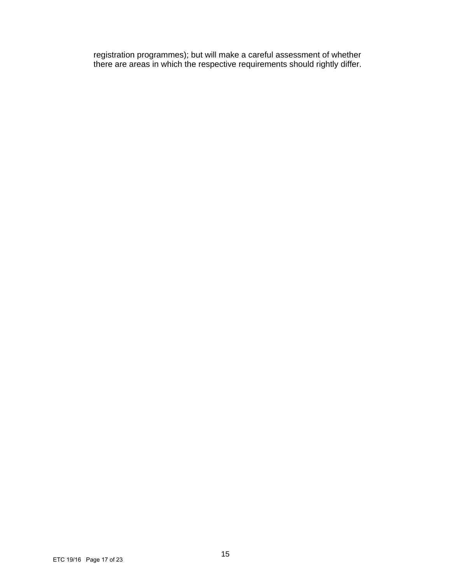registration programmes); but will make a careful assessment of whether there are areas in which the respective requirements should rightly differ.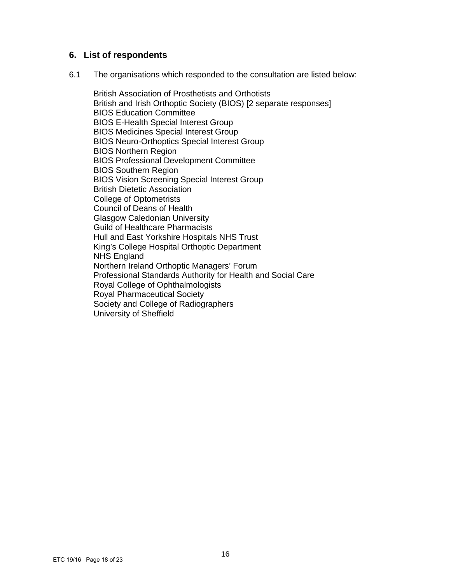## **6. List of respondents**

6.1 The organisations which responded to the consultation are listed below:

British Association of Prosthetists and Orthotists British and Irish Orthoptic Society (BIOS) [2 separate responses] BIOS Education Committee BIOS E-Health Special Interest Group BIOS Medicines Special Interest Group BIOS Neuro-Orthoptics Special Interest Group BIOS Northern Region BIOS Professional Development Committee BIOS Southern Region BIOS Vision Screening Special Interest Group British Dietetic Association College of Optometrists Council of Deans of Health Glasgow Caledonian University Guild of Healthcare Pharmacists Hull and East Yorkshire Hospitals NHS Trust King's College Hospital Orthoptic Department NHS England Northern Ireland Orthoptic Managers' Forum Professional Standards Authority for Health and Social Care Royal College of Ophthalmologists Royal Pharmaceutical Society Society and College of Radiographers University of Sheffield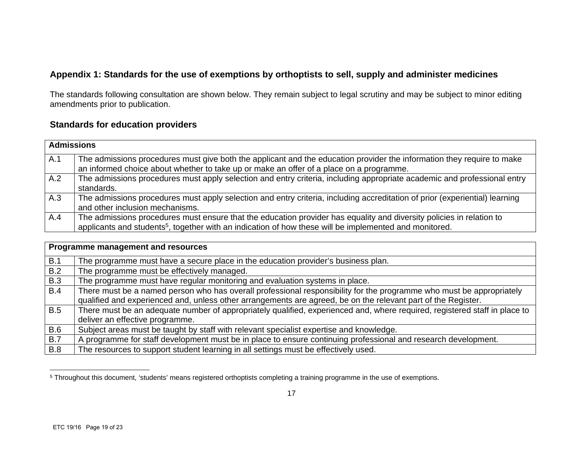## **Appendix 1: Standards for the use of exemptions by orthoptists to sell, supply and administer medicines**

The standards following consultation are shown below. They remain subject to legal scrutiny and may be subject to minor editing amendments prior to publication.

## **Standards for education providers**

|     | <b>Admissions</b>                                                                                                                                                                                                                          |  |  |
|-----|--------------------------------------------------------------------------------------------------------------------------------------------------------------------------------------------------------------------------------------------|--|--|
| A.1 | The admissions procedures must give both the applicant and the education provider the information they require to make<br>an informed choice about whether to take up or make an offer of a place on a programme.                          |  |  |
| A.2 | The admissions procedures must apply selection and entry criteria, including appropriate academic and professional entry<br>standards.                                                                                                     |  |  |
| A.3 | The admissions procedures must apply selection and entry criteria, including accreditation of prior (experiential) learning<br>and other inclusion mechanisms.                                                                             |  |  |
| A.4 | The admissions procedures must ensure that the education provider has equality and diversity policies in relation to<br>applicants and students <sup>5</sup> , together with an indication of how these will be implemented and monitored. |  |  |

|            | Programme management and resources                                                                                         |
|------------|----------------------------------------------------------------------------------------------------------------------------|
| B.1        | The programme must have a secure place in the education provider's business plan.                                          |
| B.2        | The programme must be effectively managed.                                                                                 |
| <b>B.3</b> | The programme must have regular monitoring and evaluation systems in place.                                                |
| B.4        | There must be a named person who has overall professional responsibility for the programme who must be appropriately       |
|            | qualified and experienced and, unless other arrangements are agreed, be on the relevant part of the Register.              |
| <b>B.5</b> | There must be an adequate number of appropriately qualified, experienced and, where required, registered staff in place to |
|            | deliver an effective programme.                                                                                            |
| <b>B.6</b> | Subject areas must be taught by staff with relevant specialist expertise and knowledge.                                    |
| <b>B.7</b> | A programme for staff development must be in place to ensure continuing professional and research development.             |
| <b>B.8</b> | The resources to support student learning in all settings must be effectively used.                                        |

<sup>&</sup>lt;sup>5</sup> Throughout this document, 'students' means registered orthoptists completing a training programme in the use of exemptions.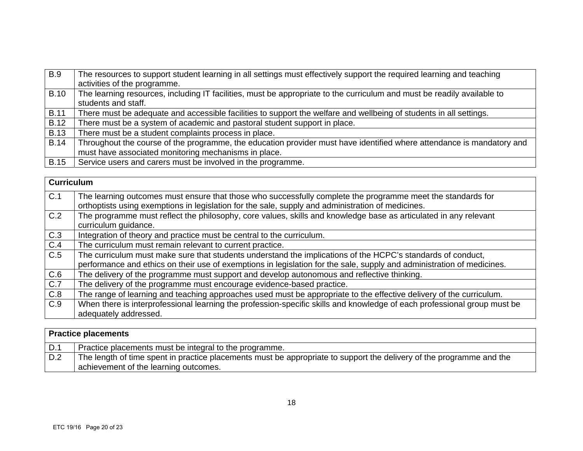| <b>B.9</b>  | The resources to support student learning in all settings must effectively support the required learning and teaching   |
|-------------|-------------------------------------------------------------------------------------------------------------------------|
|             | activities of the programme.                                                                                            |
| <b>B.10</b> | The learning resources, including IT facilities, must be appropriate to the curriculum and must be readily available to |
|             | students and staff.                                                                                                     |
| <b>B.11</b> | There must be adequate and accessible facilities to support the welfare and wellbeing of students in all settings.      |
| <b>B.12</b> | There must be a system of academic and pastoral student support in place.                                               |
| <b>B.13</b> | There must be a student complaints process in place.                                                                    |
| <b>B.14</b> | Throughout the course of the programme, the education provider must have identified where attendance is mandatory and   |
|             | must have associated monitoring mechanisms in place.                                                                    |
| <b>B.15</b> | Service users and carers must be involved in the programme.                                                             |

| <b>Curriculum</b> |                                                                                                                          |
|-------------------|--------------------------------------------------------------------------------------------------------------------------|
| C.1               | The learning outcomes must ensure that those who successfully complete the programme meet the standards for              |
|                   | orthoptists using exemptions in legislation for the sale, supply and administration of medicines.                        |
| C.2               | The programme must reflect the philosophy, core values, skills and knowledge base as articulated in any relevant         |
|                   | curriculum guidance.                                                                                                     |
| C.3               | Integration of theory and practice must be central to the curriculum.                                                    |
| C.4               | The curriculum must remain relevant to current practice.                                                                 |
| C.5               | The curriculum must make sure that students understand the implications of the HCPC's standards of conduct,              |
|                   | performance and ethics on their use of exemptions in legislation for the sale, supply and administration of medicines.   |
| C.6               | The delivery of the programme must support and develop autonomous and reflective thinking.                               |
| C.7               | The delivery of the programme must encourage evidence-based practice.                                                    |
| C.8               | The range of learning and teaching approaches used must be appropriate to the effective delivery of the curriculum.      |
| C.9               | When there is interprofessional learning the profession-specific skills and knowledge of each professional group must be |
|                   | adequately addressed.                                                                                                    |

| <b>Practice placements</b> |                                                                                                                                                               |  |
|----------------------------|---------------------------------------------------------------------------------------------------------------------------------------------------------------|--|
| D.1                        | Practice placements must be integral to the programme.                                                                                                        |  |
| D.2                        | The length of time spent in practice placements must be appropriate to support the delivery of the programme and the<br>achievement of the learning outcomes. |  |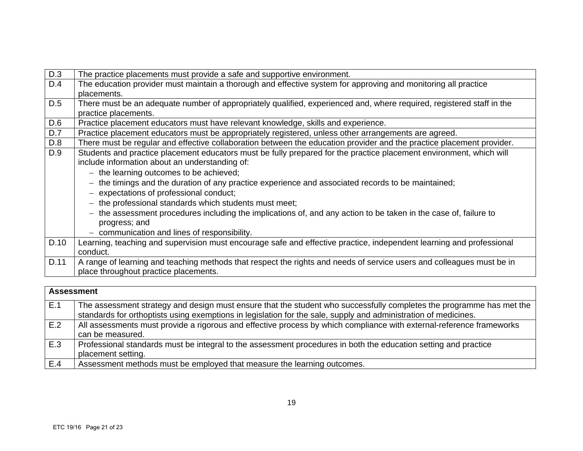| D.3  | The practice placements must provide a safe and supportive environment.                                               |
|------|-----------------------------------------------------------------------------------------------------------------------|
| D.4  | The education provider must maintain a thorough and effective system for approving and monitoring all practice        |
|      | placements.                                                                                                           |
| D.5  | There must be an adequate number of appropriately qualified, experienced and, where required, registered staff in the |
|      | practice placements.                                                                                                  |
| D.6  | Practice placement educators must have relevant knowledge, skills and experience.                                     |
| D.7  | Practice placement educators must be appropriately registered, unless other arrangements are agreed.                  |
| D.8  | There must be regular and effective collaboration between the education provider and the practice placement provider. |
| D.9  | Students and practice placement educators must be fully prepared for the practice placement environment, which will   |
|      | include information about an understanding of:                                                                        |
|      | - the learning outcomes to be achieved;                                                                               |
|      | - the timings and the duration of any practice experience and associated records to be maintained;                    |
|      | - expectations of professional conduct;                                                                               |
|      | $-$ the professional standards which students must meet;                                                              |
|      | - the assessment procedures including the implications of, and any action to be taken in the case of, failure to      |
|      | progress; and                                                                                                         |
|      | - communication and lines of responsibility.                                                                          |
| D.10 | Learning, teaching and supervision must encourage safe and effective practice, independent learning and professional  |
|      | conduct.                                                                                                              |
| D.11 | A range of learning and teaching methods that respect the rights and needs of service users and colleagues must be in |
|      | place throughout practice placements.                                                                                 |
|      |                                                                                                                       |
|      |                                                                                                                       |

| <b>Assessment</b> |                                                                                                                      |
|-------------------|----------------------------------------------------------------------------------------------------------------------|
| E.1               | The assessment strategy and design must ensure that the student who successfully completes the programme has met the |
|                   | standards for orthoptists using exemptions in legislation for the sale, supply and administration of medicines.      |
| E.2               | All assessments must provide a rigorous and effective process by which compliance with external-reference frameworks |
|                   | can be measured.                                                                                                     |
| l E.3             | Professional standards must be integral to the assessment procedures in both the education setting and practice      |
|                   | placement setting.                                                                                                   |
| E.4               | Assessment methods must be employed that measure the learning outcomes.                                              |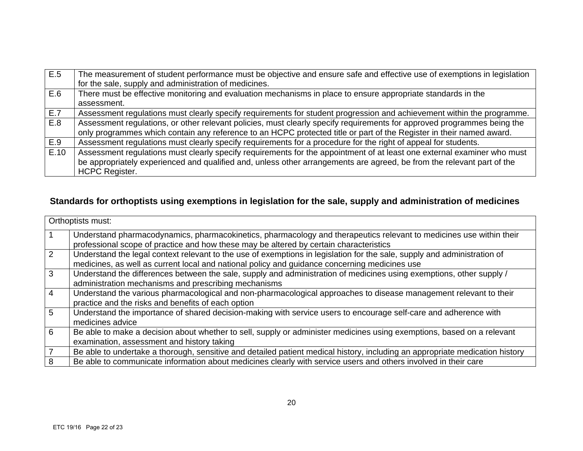| E.5  | The measurement of student performance must be objective and ensure safe and effective use of exemptions in legislation |
|------|-------------------------------------------------------------------------------------------------------------------------|
|      | for the sale, supply and administration of medicines.                                                                   |
| E.6  | There must be effective monitoring and evaluation mechanisms in place to ensure appropriate standards in the            |
|      | assessment.                                                                                                             |
| E.7  | Assessment regulations must clearly specify requirements for student progression and achievement within the programme.  |
| E.8  | Assessment regulations, or other relevant policies, must clearly specify requirements for approved programmes being the |
|      | only programmes which contain any reference to an HCPC protected title or part of the Register in their named award.    |
| E.9  | Assessment regulations must clearly specify requirements for a procedure for the right of appeal for students.          |
| E.10 | Assessment regulations must clearly specify requirements for the appointment of at least one external examiner who must |
|      | be appropriately experienced and qualified and, unless other arrangements are agreed, be from the relevant part of the  |
|      | <b>HCPC Register.</b>                                                                                                   |

## **Standards for orthoptists using exemptions in legislation for the sale, supply and administration of medicines**

|                | Orthoptists must:                                                                                                                                                                                                         |
|----------------|---------------------------------------------------------------------------------------------------------------------------------------------------------------------------------------------------------------------------|
|                | Understand pharmacodynamics, pharmacokinetics, pharmacology and therapeutics relevant to medicines use within their<br>professional scope of practice and how these may be altered by certain characteristics             |
| $\overline{2}$ | Understand the legal context relevant to the use of exemptions in legislation for the sale, supply and administration of<br>medicines, as well as current local and national policy and guidance concerning medicines use |
| 3              | Understand the differences between the sale, supply and administration of medicines using exemptions, other supply /<br>administration mechanisms and prescribing mechanisms                                              |
| $\overline{4}$ | Understand the various pharmacological and non-pharmacological approaches to disease management relevant to their<br>practice and the risks and benefits of each option                                                   |
| 5              | Understand the importance of shared decision-making with service users to encourage self-care and adherence with<br>medicines advice                                                                                      |
| 6              | Be able to make a decision about whether to sell, supply or administer medicines using exemptions, based on a relevant<br>examination, assessment and history taking                                                      |
|                | Be able to undertake a thorough, sensitive and detailed patient medical history, including an appropriate medication history                                                                                              |
| 8              | Be able to communicate information about medicines clearly with service users and others involved in their care                                                                                                           |